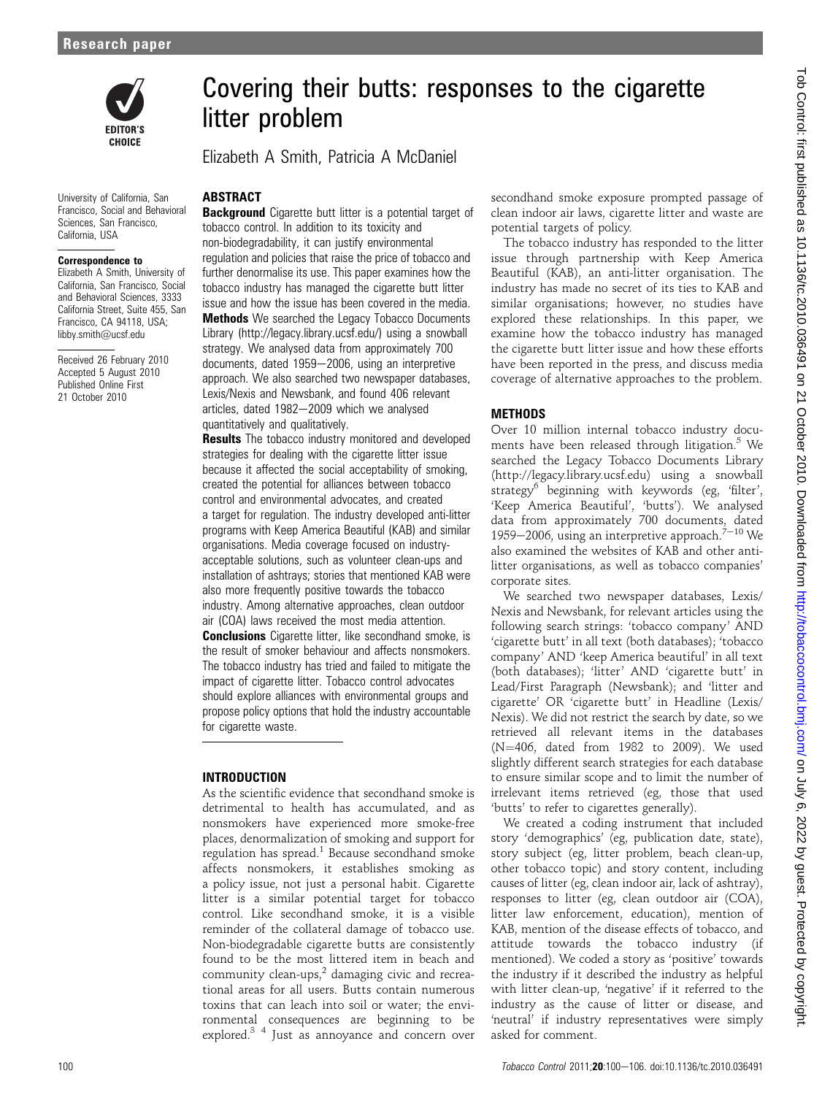

University of California, San Francisco, Social and Behavioral Sciences, San Francisco, California, USA

#### Correspondence to

Elizabeth A Smith, University of California, San Francisco, Social and Behavioral Sciences, 3333 California Street, Suite 455, San Francisco, CA 94118, USA; libby.smith@ucsf.edu

Received 26 February 2010 Accepted 5 August 2010 Published Online First 21 October 2010

# Covering their butts: responses to the cigarette litter problem

Elizabeth A Smith, Patricia A McDaniel

# **ABSTRACT**

**Background** Cigarette butt litter is a potential target of tobacco control. In addition to its toxicity and non-biodegradability, it can justify environmental regulation and policies that raise the price of tobacco and further denormalise its use. This paper examines how the tobacco industry has managed the cigarette butt litter issue and how the issue has been covered in the media. **Methods** We searched the Legacy Tobacco Documents Library (http://legacy.library.ucsf.edu/) using a snowball strategy. We analysed data from approximately 700 documents, dated 1959-2006, using an interpretive approach. We also searched two newspaper databases, Lexis/Nexis and Newsbank, and found 406 relevant articles, dated 1982-2009 which we analysed quantitatively and qualitatively.

**Results** The tobacco industry monitored and developed strategies for dealing with the cigarette litter issue because it affected the social acceptability of smoking, created the potential for alliances between tobacco control and environmental advocates, and created a target for regulation. The industry developed anti-litter programs with Keep America Beautiful (KAB) and similar organisations. Media coverage focused on industryacceptable solutions, such as volunteer clean-ups and installation of ashtrays; stories that mentioned KAB were also more frequently positive towards the tobacco industry. Among alternative approaches, clean outdoor air (COA) laws received the most media attention. **Conclusions** Cigarette litter, like secondhand smoke, is the result of smoker behaviour and affects nonsmokers. The tobacco industry has tried and failed to mitigate the

impact of cigarette litter. Tobacco control advocates should explore alliances with environmental groups and propose policy options that hold the industry accountable for cigarette waste.

# INTRODUCTION

As the scientific evidence that secondhand smoke is detrimental to health has accumulated, and as nonsmokers have experienced more smoke-free places, denormalization of smoking and support for regulation has spread.<sup>1</sup> Because secondhand smoke affects nonsmokers, it establishes smoking as a policy issue, not just a personal habit. Cigarette litter is a similar potential target for tobacco control. Like secondhand smoke, it is a visible reminder of the collateral damage of tobacco use. Non-biodegradable cigarette butts are consistently found to be the most littered item in beach and community clean-ups, $<sup>2</sup>$  damaging civic and recrea-</sup> tional areas for all users. Butts contain numerous toxins that can leach into soil or water; the environmental consequences are beginning to be explored.3 4 Just as annoyance and concern over secondhand smoke exposure prompted passage of clean indoor air laws, cigarette litter and waste are potential targets of policy.

The tobacco industry has responded to the litter issue through partnership with Keep America Beautiful (KAB), an anti-litter organisation. The industry has made no secret of its ties to KAB and similar organisations; however, no studies have explored these relationships. In this paper, we examine how the tobacco industry has managed the cigarette butt litter issue and how these efforts have been reported in the press, and discuss media coverage of alternative approaches to the problem.

# **METHODS**

Over 10 million internal tobacco industry documents have been released through litigation.<sup>5</sup> We searched the Legacy Tobacco Documents Library (http://legacy.library.ucsf.edu) using a snowball strategy<sup>6</sup> beginning with keywords (eg, 'filter', 'Keep America Beautiful', 'butts'). We analysed data from approximately 700 documents, dated 1959-2006, using an interpretive approach. $7-10$  We also examined the websites of KAB and other antilitter organisations, as well as tobacco companies' corporate sites.

We searched two newspaper databases, Lexis/ Nexis and Newsbank, for relevant articles using the following search strings: 'tobacco company' AND 'cigarette butt' in all text (both databases); 'tobacco company' AND 'keep America beautiful' in all text (both databases); 'litter' AND 'cigarette butt' in Lead/First Paragraph (Newsbank); and 'litter and cigarette' OR 'cigarette butt' in Headline (Lexis/ Nexis). We did not restrict the search by date, so we retrieved all relevant items in the databases  $(N=406,$  dated from 1982 to 2009). We used slightly different search strategies for each database to ensure similar scope and to limit the number of irrelevant items retrieved (eg, those that used 'butts' to refer to cigarettes generally).

We created a coding instrument that included story 'demographics' (eg, publication date, state), story subject (eg, litter problem, beach clean-up, other tobacco topic) and story content, including causes of litter (eg, clean indoor air, lack of ashtray), responses to litter (eg, clean outdoor air (COA), litter law enforcement, education), mention of KAB, mention of the disease effects of tobacco, and attitude towards the tobacco industry (if mentioned). We coded a story as 'positive' towards the industry if it described the industry as helpful with litter clean-up, 'negative' if it referred to the industry as the cause of litter or disease, and 'neutral' if industry representatives were simply asked for comment.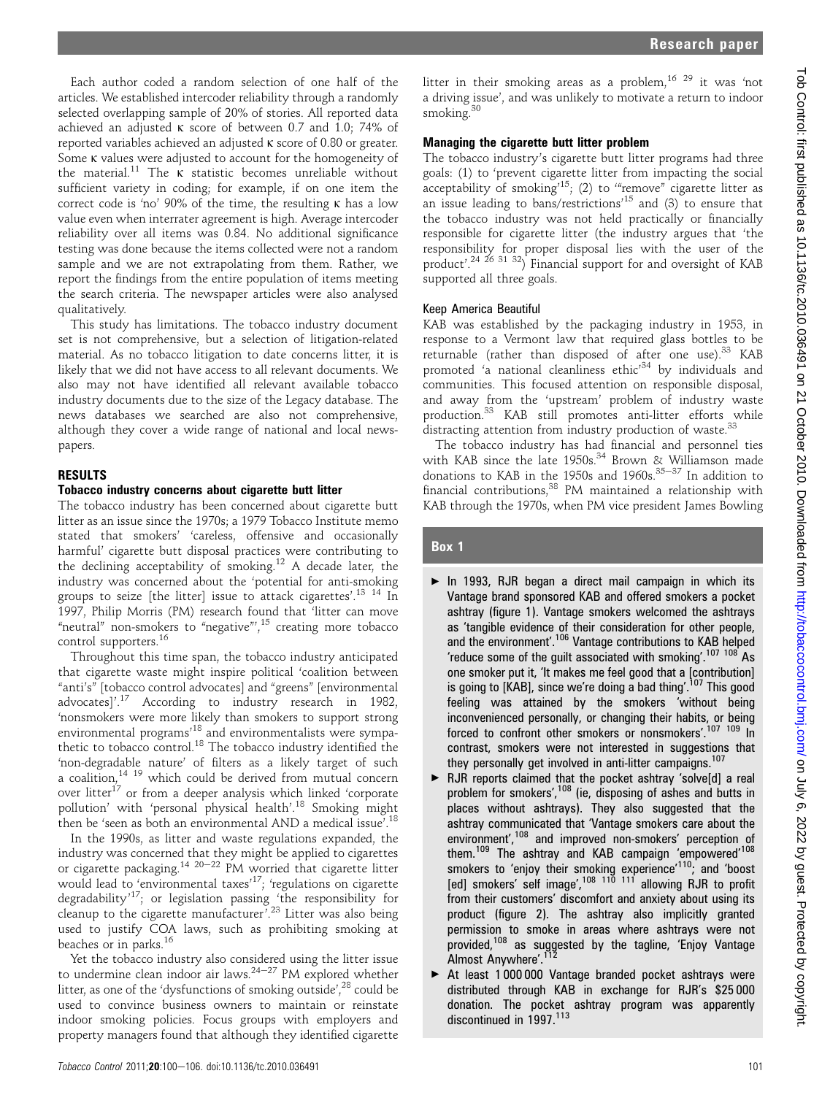Each author coded a random selection of one half of the articles. We established intercoder reliability through a randomly selected overlapping sample of 20% of stories. All reported data achieved an adjusted k score of between 0.7 and 1.0; 74% of reported variables achieved an adjusted k score of 0.80 or greater. Some  $\kappa$  values were adjusted to account for the homogeneity of the material.<sup>11</sup> The  $\kappa$  statistic becomes unreliable without sufficient variety in coding; for example, if on one item the correct code is 'no' 90% of the time, the resulting  $\kappa$  has a low value even when interrater agreement is high. Average intercoder reliability over all items was 0.84. No additional significance testing was done because the items collected were not a random sample and we are not extrapolating from them. Rather, we report the findings from the entire population of items meeting the search criteria. The newspaper articles were also analysed qualitatively.

This study has limitations. The tobacco industry document set is not comprehensive, but a selection of litigation-related material. As no tobacco litigation to date concerns litter, it is likely that we did not have access to all relevant documents. We also may not have identified all relevant available tobacco industry documents due to the size of the Legacy database. The news databases we searched are also not comprehensive, although they cover a wide range of national and local newspapers.

# RESULTS

### Tobacco industry concerns about cigarette butt litter

The tobacco industry has been concerned about cigarette butt litter as an issue since the 1970s; a 1979 Tobacco Institute memo stated that smokers' 'careless, offensive and occasionally harmful' cigarette butt disposal practices were contributing to the declining acceptability of smoking.12 A decade later, the industry was concerned about the 'potential for anti-smoking groups to seize [the litter] issue to attack cigarettes'. 13 14 In 1997, Philip Morris (PM) research found that 'litter can move "neutral" non-smokers to "negative"',<sup>15</sup> creating more tobacco control supporters.<sup>16</sup>

Throughout this time span, the tobacco industry anticipated that cigarette waste might inspire political 'coalition between "anti's" [tobacco control advocates] and "greens" [environmental advocates]'.<sup>17</sup> According to industry research in 1982, 'nonsmokers were more likely than smokers to support strong environmental programs' <sup>18</sup> and environmentalists were sympathetic to tobacco control.18 The tobacco industry identified the 'non-degradable nature' of filters as a likely target of such a coalition,<sup>14 19</sup> which could be derived from mutual concern over litter $i^7$  or from a deeper analysis which linked 'corporate pollution' with 'personal physical health'. <sup>18</sup> Smoking might then be 'seen as both an environmental AND a medical issue'. 18

In the 1990s, as litter and waste regulations expanded, the industry was concerned that they might be applied to cigarettes or cigarette packaging. $14 \times 20-22$  PM worried that cigarette litter would lead to 'environmental taxes' 17; 'regulations on cigarette degradability' 17; or legislation passing 'the responsibility for cleanup to the cigarette manufacturer'. <sup>23</sup> Litter was also being used to justify COA laws, such as prohibiting smoking at beaches or in parks.<sup>16</sup>

Yet the tobacco industry also considered using the litter issue to undermine clean indoor air laws.<sup>24-27</sup> PM explored whether litter, as one of the 'dysfunctions of smoking outside',<sup>28</sup> could be used to convince business owners to maintain or reinstate indoor smoking policies. Focus groups with employers and property managers found that although they identified cigarette litter in their smoking areas as a problem,<sup>16 29</sup> it was 'not a driving issue', and was unlikely to motivate a return to indoor smoking.<sup>30</sup>

### Managing the cigarette butt litter problem

The tobacco industry's cigarette butt litter programs had three goals: (1) to 'prevent cigarette litter from impacting the social acceptability of smoking' 15; (2) to '"remove" cigarette litter as an issue leading to bans/restrictions' <sup>15</sup> and (3) to ensure that the tobacco industry was not held practically or financially responsible for cigarette litter (the industry argues that 'the responsibility for proper disposal lies with the user of the product'.<sup>24 26 31 32</sup>) Financial support for and oversight of KAB supported all three goals.

### Keep America Beautiful

KAB was established by the packaging industry in 1953, in response to a Vermont law that required glass bottles to be returnable (rather than disposed of after one use).<sup>33</sup> KAB promoted 'a national cleanliness ethic<sup>34</sup> by individuals and communities. This focused attention on responsible disposal, and away from the 'upstream' problem of industry waste production.<sup>33</sup> KAB still promotes anti-litter efforts while distracting attention from industry production of waste.<sup>33</sup>

The tobacco industry has had financial and personnel ties with KAB since the late 1950s.<sup>34</sup> Brown & Williamson made donations to KAB in the 1950s and  $1960s$ .<sup>35-37</sup> In addition to financial contributions,  $38$  PM maintained a relationship with KAB through the 1970s, when PM vice president James Bowling

### Box 1

- < In 1993, RJR began a direct mail campaign in which its Vantage brand sponsored KAB and offered smokers a pocket ashtray (figure 1). Vantage smokers welcomed the ashtrays as 'tangible evidence of their consideration for other people, and the environment'.<sup>106</sup> Vantage contributions to KAB helped 'reduce some of the guilt associated with smoking'.<sup>107 108</sup> As one smoker put it, 'It makes me feel good that a [contribution] is going to [KAB], since we're doing a bad thing'.<sup>107</sup> This good feeling was attained by the smokers 'without being inconvenienced personally, or changing their habits, or being forced to confront other smokers or nonsmokers'.<sup>107</sup> <sup>109</sup> In contrast, smokers were not interested in suggestions that they personally get involved in anti-litter campaigns.<sup>107</sup>
- $\triangleright$  RJR reports claimed that the pocket ashtray 'solve[d] a real problem for smokers',  $108$  (ie, disposing of ashes and butts in places without ashtrays). They also suggested that the ashtray communicated that 'Vantage smokers care about the environment',<sup>108</sup> and improved non-smokers' perception of them.<sup>109</sup> The ashtray and KAB campaign 'empowered'<sup>108</sup> smokers to 'enjoy their smoking experience'<sup>110</sup>; and 'boost [ed] smokers' self image',<sup>108 110</sup> <sup>111</sup> allowing RJR to profit from their customers' discomfort and anxiety about using its product (figure 2). The ashtray also implicitly granted permission to smoke in areas where ashtrays were not provided,<sup>108</sup> as suggested by the tagline, 'Enjoy Vantage Almost Anywhere'.<sup>1</sup>
- ▶ At least 1 000 000 Vantage branded pocket ashtrays were distributed through KAB in exchange for RJR's \$25 000 donation. The pocket ashtray program was apparently discontinued in 1997.<sup>113</sup>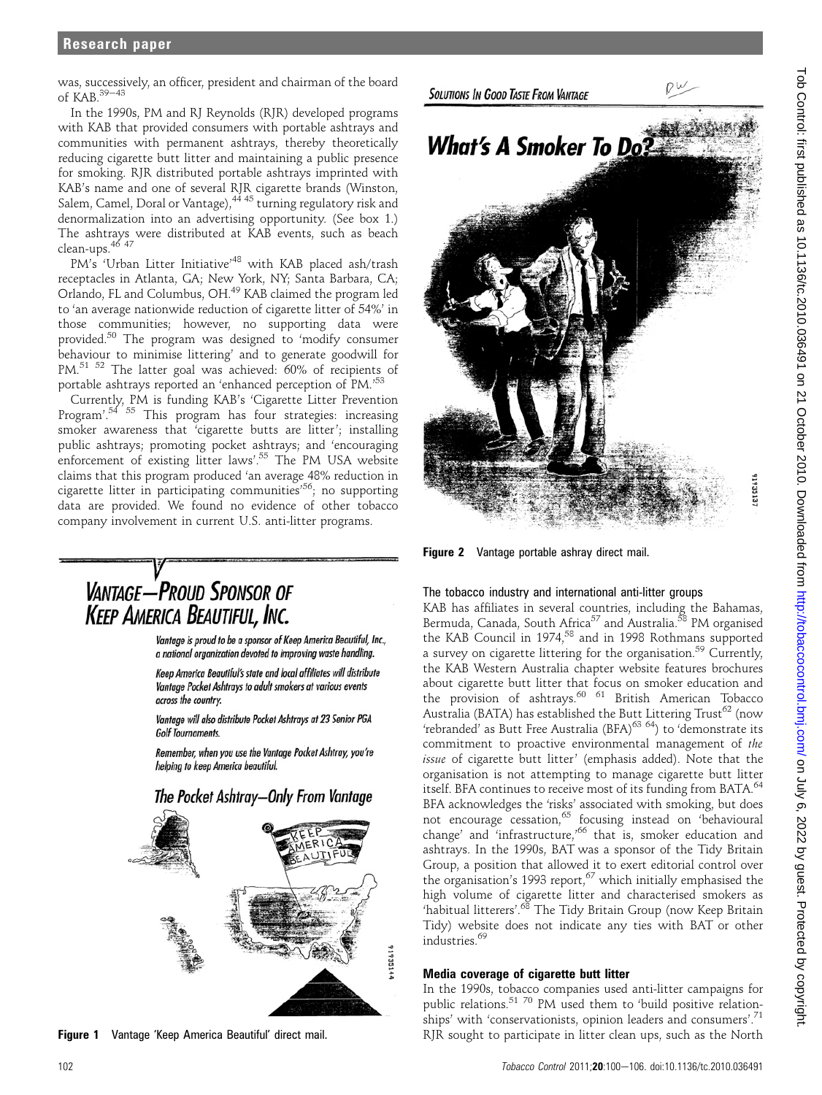was, successively, an officer, president and chairman of the board of KAB $39-43$ 

In the 1990s, PM and RJ Reynolds (RJR) developed programs with KAB that provided consumers with portable ashtrays and communities with permanent ashtrays, thereby theoretically reducing cigarette butt litter and maintaining a public presence for smoking. RJR distributed portable ashtrays imprinted with KAB's name and one of several RJR cigarette brands (Winston, Salem, Camel, Doral or Vantage),<sup>44 45</sup> turning regulatory risk and denormalization into an advertising opportunity. (See box 1.) The ashtrays were distributed at KAB events, such as beach clean-ups.46 47

PM's 'Urban Litter Initiative' <sup>48</sup> with KAB placed ash/trash receptacles in Atlanta, GA; New York, NY; Santa Barbara, CA; Orlando, FL and Columbus, OH.49 KAB claimed the program led to 'an average nationwide reduction of cigarette litter of 54%' in those communities; however, no supporting data were provided.<sup>50</sup> The program was designed to 'modify consumer behaviour to minimise littering' and to generate goodwill for PM.<sup>51 52</sup> The latter goal was achieved: 60% of recipients of portable ashtrays reported an 'enhanced perception of PM.'53

Currently, PM is funding KAB's 'Cigarette Litter Prevention Program'.<sup>54 55</sup> This program has four strategies: increasing smoker awareness that 'cigarette butts are litter'; installing public ashtrays; promoting pocket ashtrays; and 'encouraging enforcement of existing litter laws'. <sup>55</sup> The PM USA website claims that this program produced 'an average 48% reduction in cigarette litter in participating communities' 56; no supporting data are provided. We found no evidence of other tobacco company involvement in current U.S. anti-litter programs.

# Vantage—Proud Sponsor of<br>Keep America Beautiful, Inc.

Vantage is proud to be a sponsor of Keep America Beautiful, Inc., a national organization devoted to improving waste handling.

Keep America Beautiful's state and local affiliates will distribute Vantage Pocket Ashtrays to adult smokers at various events across the country.

Vantage will also distribute Pocket Ashtrays at 23 Senior PGA **Golf Tournaments.** 

Remember, when you use the Vantage Pocket Ashtray, you're helping to keep America beautiful.





Figure 2 Vantage portable ashray direct mail.

# The tobacco industry and international anti-litter groups

KAB has affiliates in several countries, including the Bahamas, Bermuda, Canada, South Africa<sup>57</sup> and Australia.<sup>58</sup> PM organised the KAB Council in 1974,<sup>58</sup> and in 1998 Rothmans supported a survey on cigarette littering for the organisation.<sup>59</sup> Currently, the KAB Western Australia chapter website features brochures about cigarette butt litter that focus on smoker education and the provision of ashtrays.<sup>60 61</sup> British American Tobacco Australia (BATA) has established the Butt Littering Trust<sup>62</sup> (now 'rebranded' as Butt Free Australia (BFA)<sup>63 64</sup>) to 'demonstrate its commitment to proactive environmental management of the issue of cigarette butt litter' (emphasis added). Note that the organisation is not attempting to manage cigarette butt litter itself. BFA continues to receive most of its funding from BATA.<sup>64</sup> BFA acknowledges the 'risks' associated with smoking, but does not encourage cessation,<sup>65</sup> focusing instead on 'behavioural change' and 'infrastructure,' <sup>66</sup> that is, smoker education and ashtrays. In the 1990s, BAT was a sponsor of the Tidy Britain Group, a position that allowed it to exert editorial control over the organisation's 1993 report,<sup>67</sup> which initially emphasised the high volume of cigarette litter and characterised smokers as 'habitual litterers'.<sup>68</sup> The Tidy Britain Group (now Keep Britain Tidy) website does not indicate any ties with BAT or other industries.<sup>69</sup>

# Media coverage of cigarette butt litter

In the 1990s, tobacco companies used anti-litter campaigns for public relations.<sup>51 70</sup> PM used them to 'build positive relationships' with 'conservationists, opinion leaders and consumers'. 71 Figure 1 Vantage 'Keep America Beautiful' direct mail. RJR sought to participate in litter clean ups, such as the North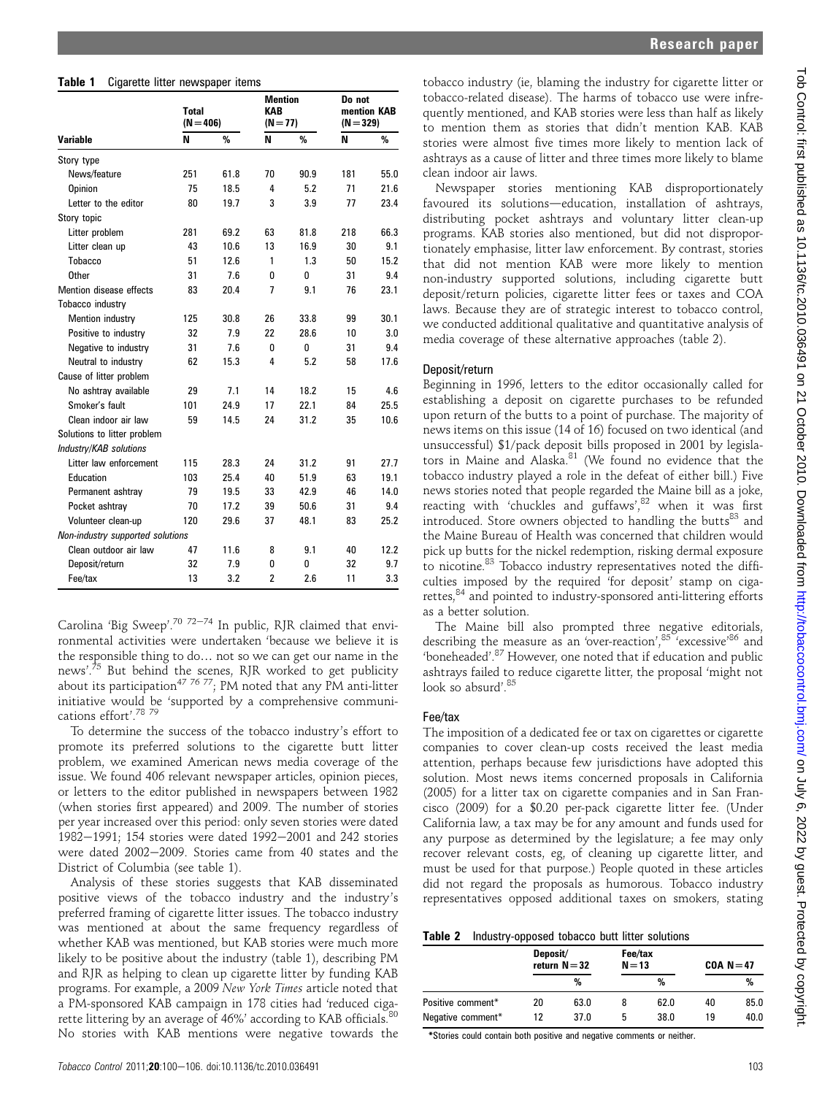# Table 1 Cigarette litter newspaper items

|                                  | <b>Total</b><br>$(N = 406)$ |      | <b>Mention</b><br><b>KAB</b><br>$(N = 77)$ |      | Do not<br>mention KAB<br>$(N = 329)$ |      |
|----------------------------------|-----------------------------|------|--------------------------------------------|------|--------------------------------------|------|
| <b>Variable</b>                  | N                           | %    | N                                          | %    | N                                    | %    |
| Story type                       |                             |      |                                            |      |                                      |      |
| News/feature                     | 251                         | 61.8 | 70                                         | 90.9 | 181                                  | 55.0 |
| <b>Opinion</b>                   | 75                          | 18.5 | 4                                          | 5.2  | 71                                   | 21.6 |
| Letter to the editor             | 80                          | 19.7 | 3                                          | 3.9  | 77                                   | 23.4 |
| Story topic                      |                             |      |                                            |      |                                      |      |
| Litter problem                   | 281                         | 69.2 | 63                                         | 81.8 | 218                                  | 66.3 |
| Litter clean up                  | 43                          | 10.6 | 13                                         | 16.9 | 30                                   | 9.1  |
| Tobacco                          | 51                          | 12.6 | 1                                          | 1.3  | 50                                   | 15.2 |
| Other                            | 31                          | 7.6  | U                                          | U    | 31                                   | 9.4  |
| Mention disease effects          | 83                          | 20.4 | 7                                          | 9.1  | 76                                   | 23.1 |
| Tobacco industry                 |                             |      |                                            |      |                                      |      |
| Mention industry                 | 125                         | 30.8 | 26                                         | 33.8 | 99                                   | 30.1 |
| Positive to industry             | 32                          | 7.9  | 22                                         | 28.6 | 10                                   | 3.0  |
| Negative to industry             | 31                          | 7.6  | <sub>0</sub>                               | 0    | 31                                   | 9.4  |
| Neutral to industry              | 62                          | 15.3 | 4                                          | 5.2  | 58                                   | 17.6 |
| Cause of litter problem          |                             |      |                                            |      |                                      |      |
| No ashtray available             | 29                          | 7.1  | 14                                         | 18.2 | 15                                   | 4.6  |
| Smoker's fault                   | 101                         | 24.9 | 17                                         | 22.1 | 84                                   | 25.5 |
| Clean indoor air law             | 59                          | 14.5 | 24                                         | 31.2 | 35                                   | 10.6 |
| Solutions to litter problem      |                             |      |                                            |      |                                      |      |
| Industry/KAB solutions           |                             |      |                                            |      |                                      |      |
| Litter law enforcement           | 115                         | 28.3 | 24                                         | 31.2 | 91                                   | 27.7 |
| Education                        | 103                         | 25.4 | 40                                         | 51.9 | 63                                   | 19.1 |
| Permanent ashtray                | 79                          | 19.5 | 33                                         | 42.9 | 46                                   | 14.0 |
| Pocket ashtray                   | 70                          | 17.2 | 39                                         | 50.6 | 31                                   | 9.4  |
| Volunteer clean-up               | 120                         | 29.6 | 37                                         | 48.1 | 83                                   | 25.2 |
| Non-industry supported solutions |                             |      |                                            |      |                                      |      |
| Clean outdoor air law            | 47                          | 11.6 | 8                                          | 9.1  | 40                                   | 12.2 |
| Deposit/return                   | 32                          | 7.9  | O                                          | O    | 32                                   | 9.7  |
| Fee/tax                          | 13                          | 3.2  | 2                                          | 2.6  | 11                                   | 3.3  |

Carolina 'Big Sweep'.<sup>70 72–74</sup> In public, RJR claimed that environmental activities were undertaken 'because we believe it is the responsible thing to do... not so we can get our name in the news'.<sup>75</sup> But behind the scenes, RJR worked to get publicity about its participation<sup>47 76 77</sup>; PM noted that any PM anti-litter initiative would be 'supported by a comprehensive communications effort'. 78 79

To determine the success of the tobacco industry's effort to promote its preferred solutions to the cigarette butt litter problem, we examined American news media coverage of the issue. We found 406 relevant newspaper articles, opinion pieces, or letters to the editor published in newspapers between 1982 (when stories first appeared) and 2009. The number of stories per year increased over this period: only seven stories were dated 1982-1991; 154 stories were dated 1992-2001 and 242 stories were dated  $2002-2009$ . Stories came from 40 states and the District of Columbia (see table 1).

Analysis of these stories suggests that KAB disseminated positive views of the tobacco industry and the industry's preferred framing of cigarette litter issues. The tobacco industry was mentioned at about the same frequency regardless of whether KAB was mentioned, but KAB stories were much more likely to be positive about the industry (table 1), describing PM and RJR as helping to clean up cigarette litter by funding KAB programs. For example, a 2009 New York Times article noted that a PM-sponsored KAB campaign in 178 cities had 'reduced cigarette littering by an average of 46%' according to KAB officials.  $^{80}$ No stories with KAB mentions were negative towards the

tobacco industry (ie, blaming the industry for cigarette litter or tobacco-related disease). The harms of tobacco use were infrequently mentioned, and KAB stories were less than half as likely to mention them as stories that didn't mention KAB. KAB stories were almost five times more likely to mention lack of ashtrays as a cause of litter and three times more likely to blame clean indoor air laws.

Newspaper stories mentioning KAB disproportionately favoured its solutions-education, installation of ashtrays, distributing pocket ashtrays and voluntary litter clean-up programs. KAB stories also mentioned, but did not disproportionately emphasise, litter law enforcement. By contrast, stories that did not mention KAB were more likely to mention non-industry supported solutions, including cigarette butt deposit/return policies, cigarette litter fees or taxes and COA laws. Because they are of strategic interest to tobacco control, we conducted additional qualitative and quantitative analysis of media coverage of these alternative approaches (table 2).

# Deposit/return

Beginning in 1996, letters to the editor occasionally called for establishing a deposit on cigarette purchases to be refunded upon return of the butts to a point of purchase. The majority of news items on this issue (14 of 16) focused on two identical (and unsuccessful) \$1/pack deposit bills proposed in 2001 by legislators in Maine and Alaska.<sup>81</sup> (We found no evidence that the tobacco industry played a role in the defeat of either bill.) Five news stories noted that people regarded the Maine bill as a joke, reacting with 'chuckles and guffaws',<sup>82</sup> when it was first introduced. Store owners objected to handling the butts<sup>83</sup> and the Maine Bureau of Health was concerned that children would pick up butts for the nickel redemption, risking dermal exposure to nicotine.<sup>83</sup> Tobacco industry representatives noted the difficulties imposed by the required 'for deposit' stamp on cigarettes,<sup>84</sup> and pointed to industry-sponsored anti-littering efforts as a better solution.

The Maine bill also prompted three negative editorials, describing the measure as an 'over-reaction',<sup>85</sup> 'excessive'<sup>86</sup> and 'boneheaded'.<sup>87</sup> However, one noted that if education and public ashtrays failed to reduce cigarette litter, the proposal 'might not look so absurd'. 85

# Fee/tax

The imposition of a dedicated fee or tax on cigarettes or cigarette companies to cover clean-up costs received the least media attention, perhaps because few jurisdictions have adopted this solution. Most news items concerned proposals in California (2005) for a litter tax on cigarette companies and in San Francisco (2009) for a \$0.20 per-pack cigarette litter fee. (Under California law, a tax may be for any amount and funds used for any purpose as determined by the legislature; a fee may only recover relevant costs, eg, of cleaning up cigarette litter, and must be used for that purpose.) People quoted in these articles did not regard the proposals as humorous. Tobacco industry representatives opposed additional taxes on smokers, stating

| Table 2 Industry-opposed tobacco butt litter solutions |  |
|--------------------------------------------------------|--|
|--------------------------------------------------------|--|

|                   | Deposit/<br>return $N = 32$ |      |   | Fee/tax<br>$N = 13$ |    | $COA N = 47$ |  |
|-------------------|-----------------------------|------|---|---------------------|----|--------------|--|
|                   |                             | $\%$ |   | %                   |    | %            |  |
| Positive comment* | 20                          | 63.0 |   | 62.0                | 40 | 85.0         |  |
| Negative comment* | 12                          | 37.0 | 5 | 38.0                | 19 | 40.0         |  |

\*Stories could contain both positive and negative comments or neither.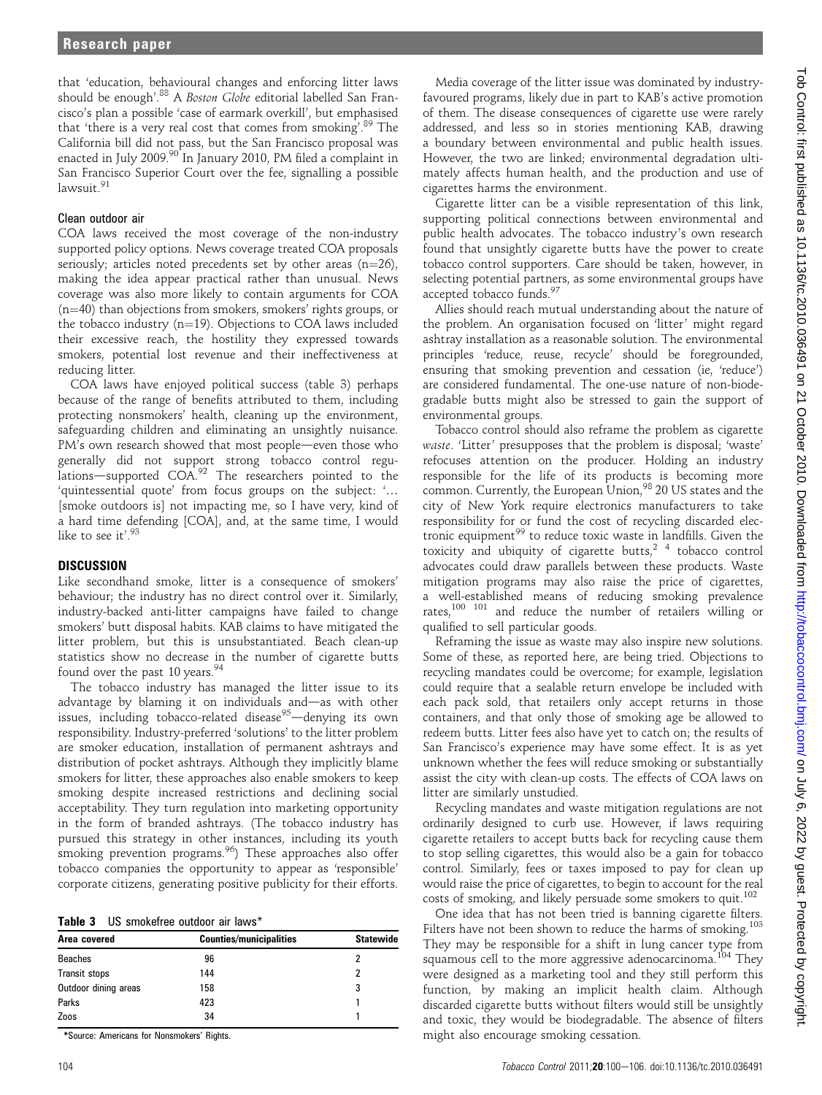that 'education, behavioural changes and enforcing litter laws should be enough'.<sup>88</sup> A *Boston Globe* editorial labelled San Francisco's plan a possible 'case of earmark overkill', but emphasised that 'there is a very real cost that comes from smoking'. <sup>89</sup> The California bill did not pass, but the San Francisco proposal was enacted in July 2009.<sup>90</sup> In January 2010, PM filed a complaint in San Francisco Superior Court over the fee, signalling a possible lawsuit.<sup>91</sup>

### Clean outdoor air

COA laws received the most coverage of the non-industry supported policy options. News coverage treated COA proposals seriously; articles noted precedents set by other areas  $(n=26)$ , making the idea appear practical rather than unusual. News coverage was also more likely to contain arguments for COA  $(n=40)$  than objections from smokers, smokers' rights groups, or the tobacco industry  $(n=19)$ . Objections to COA laws included their excessive reach, the hostility they expressed towards smokers, potential lost revenue and their ineffectiveness at reducing litter.

COA laws have enjoyed political success (table 3) perhaps because of the range of benefits attributed to them, including protecting nonsmokers' health, cleaning up the environment, safeguarding children and eliminating an unsightly nuisance. PM's own research showed that most people-even those who generally did not support strong tobacco control regulations—supported  $COA<sup>92</sup>$  The researchers pointed to the 'quintessential quote' from focus groups on the subject: '... [smoke outdoors is] not impacting me, so I have very, kind of a hard time defending [COA], and, at the same time, I would like to see it'. 93

### **DISCUSSION**

Like secondhand smoke, litter is a consequence of smokers' behaviour; the industry has no direct control over it. Similarly, industry-backed anti-litter campaigns have failed to change smokers' butt disposal habits. KAB claims to have mitigated the litter problem, but this is unsubstantiated. Beach clean-up statistics show no decrease in the number of cigarette butts found over the past 10 years.<sup>94</sup>

The tobacco industry has managed the litter issue to its advantage by blaming it on individuals and—as with other issues, including tobacco-related disease $95$ —denying its own responsibility. Industry-preferred 'solutions' to the litter problem are smoker education, installation of permanent ashtrays and distribution of pocket ashtrays. Although they implicitly blame smokers for litter, these approaches also enable smokers to keep smoking despite increased restrictions and declining social acceptability. They turn regulation into marketing opportunity in the form of branded ashtrays. (The tobacco industry has pursued this strategy in other instances, including its youth smoking prevention programs.<sup>96</sup>) These approaches also offer tobacco companies the opportunity to appear as 'responsible' corporate citizens, generating positive publicity for their efforts.

Table 3 US smokefree outdoor air laws\*

| Area covered         | <b>Counties/municipalities</b> | <b>Statewide</b> |  |
|----------------------|--------------------------------|------------------|--|
| <b>Beaches</b>       | 96                             | 2                |  |
| Transit stops        | 144                            | 2                |  |
| Outdoor dining areas | 158                            | 3                |  |
| Parks                | 423                            |                  |  |
| Zoos                 | 34                             |                  |  |

\*Source: Americans for Nonsmokers' Rights.

Media coverage of the litter issue was dominated by industryfavoured programs, likely due in part to KAB's active promotion of them. The disease consequences of cigarette use were rarely addressed, and less so in stories mentioning KAB, drawing a boundary between environmental and public health issues. However, the two are linked; environmental degradation ultimately affects human health, and the production and use of cigarettes harms the environment.

Cigarette litter can be a visible representation of this link, supporting political connections between environmental and public health advocates. The tobacco industry's own research found that unsightly cigarette butts have the power to create tobacco control supporters. Care should be taken, however, in selecting potential partners, as some environmental groups have accepted tobacco funds.<sup>97</sup>

Allies should reach mutual understanding about the nature of the problem. An organisation focused on 'litter' might regard ashtray installation as a reasonable solution. The environmental principles 'reduce, reuse, recycle' should be foregrounded, ensuring that smoking prevention and cessation (ie, 'reduce') are considered fundamental. The one-use nature of non-biodegradable butts might also be stressed to gain the support of environmental groups.

Tobacco control should also reframe the problem as cigarette waste. 'Litter' presupposes that the problem is disposal; 'waste' refocuses attention on the producer. Holding an industry responsible for the life of its products is becoming more common. Currently, the European Union, <sup>98</sup> 20 US states and the city of New York require electronics manufacturers to take responsibility for or fund the cost of recycling discarded electronic equipment<sup>99</sup> to reduce toxic waste in landfills. Given the toxicity and ubiquity of cigarette butts, $2<sup>4</sup>$  tobacco control advocates could draw parallels between these products. Waste mitigation programs may also raise the price of cigarettes, a well-established means of reducing smoking prevalence rates,100 101 and reduce the number of retailers willing or qualified to sell particular goods.

Reframing the issue as waste may also inspire new solutions. Some of these, as reported here, are being tried. Objections to recycling mandates could be overcome; for example, legislation could require that a sealable return envelope be included with each pack sold, that retailers only accept returns in those containers, and that only those of smoking age be allowed to redeem butts. Litter fees also have yet to catch on; the results of San Francisco's experience may have some effect. It is as yet unknown whether the fees will reduce smoking or substantially assist the city with clean-up costs. The effects of COA laws on litter are similarly unstudied.

Recycling mandates and waste mitigation regulations are not ordinarily designed to curb use. However, if laws requiring cigarette retailers to accept butts back for recycling cause them to stop selling cigarettes, this would also be a gain for tobacco control. Similarly, fees or taxes imposed to pay for clean up would raise the price of cigarettes, to begin to account for the real costs of smoking, and likely persuade some smokers to quit.<sup>102</sup>

One idea that has not been tried is banning cigarette filters. Filters have not been shown to reduce the harms of smoking.<sup>103</sup> They may be responsible for a shift in lung cancer type from squamous cell to the more aggressive adenocarcinoma.<sup>104</sup> They were designed as a marketing tool and they still perform this function, by making an implicit health claim. Although discarded cigarette butts without filters would still be unsightly and toxic, they would be biodegradable. The absence of filters might also encourage smoking cessation.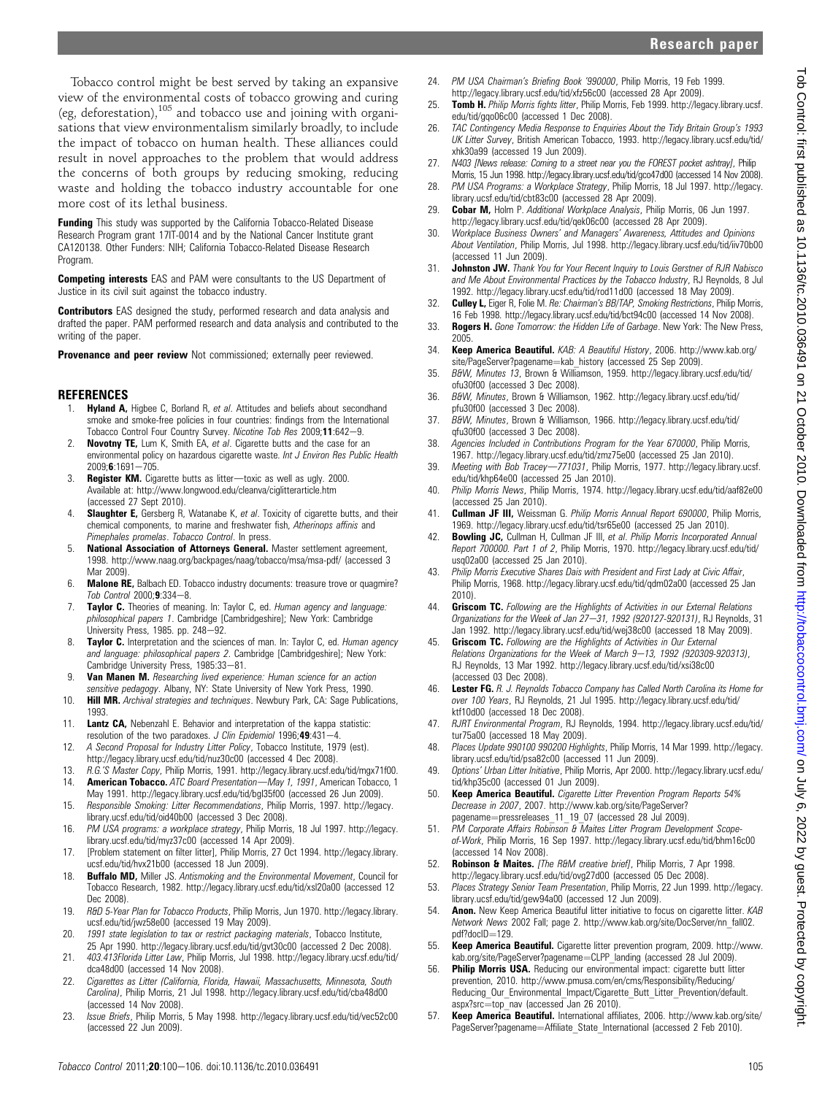Tobacco control might be best served by taking an expansive view of the environmental costs of tobacco growing and curing (eg, deforestation),  $105$  and tobacco use and joining with organisations that view environmentalism similarly broadly, to include the impact of tobacco on human health. These alliances could result in novel approaches to the problem that would address the concerns of both groups by reducing smoking, reducing waste and holding the tobacco industry accountable for one more cost of its lethal business.

**Funding** This study was supported by the California Tobacco-Related Disease Research Program grant 17IT-0014 and by the National Cancer Institute grant CA120138. Other Funders: NIH; California Tobacco-Related Disease Research Program.

Competing interests EAS and PAM were consultants to the US Department of Justice in its civil suit against the tobacco industry.

**Contributors** EAS designed the study, performed research and data analysis and drafted the paper. PAM performed research and data analysis and contributed to the writing of the paper.

Provenance and peer review Not commissioned; externally peer reviewed.

# **REFERENCES**

- 1. **Hyland A,** Higbee C, Borland R, et al. Attitudes and beliefs about secondhand smoke and smoke-free policies in four countries: findings from the International Tobacco Control Four Country Survey. Nicotine Tob Res 2009;11:642-9.
- 2. Novotny TE, Lum K, Smith EA, et al. Cigarette butts and the case for an environmental policy on hazardous cigarette waste. Int J Environ Res Public Health 2009:6:1691-705.
- 3. Register KM. Cigarette butts as litter-toxic as well as ugly. 2000. Available at: http://www.longwood.edu/cleanva/ciglitterarticle.htm (accessed 27 Sept 2010).
- 4. Slaughter E, Gersberg R, Watanabe K, et al. Toxicity of cigarette butts, and their chemical components, to marine and freshwater fish, Atherinops affinis and Pimephales promelas. Tobacco Control. In press.
- 5. National Association of Attorneys General. Master settlement agreement, 1998. http://www.naag.org/backpages/naag/tobacco/msa/msa-pdf/ (accessed 3 Mar 2009)
- 6. Malone RE, Balbach ED. Tobacco industry documents: treasure trove or quagmire?  $T<sub>0</sub>$  Control 2000;  $9.334 - 8$ .
- 7. Taylor C. Theories of meaning. In: Taylor C, ed. Human agency and language: philosophical papers 1. Cambridge [Cambridgeshire]; New York: Cambridge University Press, 1985. pp. 248-92.
- 8. Taylor C. Interpretation and the sciences of man. In: Taylor C, ed. Human agency and language: philosophical papers 2. Cambridge [Cambridgeshire]; New York: Cambridge University Press, 1985:33-81.
- 9. Van Manen M. Researching lived experience: Human science for an action sensitive pedagogy. Albany, NY: State University of New York Press, 1990.
- 10. **Hill MR.** Archival strategies and techniques. Newbury Park, CA: Sage Publications, 1993.
- 11. Lantz CA, Nebenzahl E. Behavior and interpretation of the kappa statistic: resolution of the two paradoxes. J Clin Epidemiol 1996;49:431-4
- 12. A Second Proposal for Industry Litter Policy, Tobacco Institute, 1979 (est). http://legacy.library.ucsf.edu/tid/nuz30c00 (accessed 4 Dec 2008).
- 13. R.G.'S Master Copy, Philip Morris, 1991. http://legacy.library.ucsf.edu/tid/mgx71f00. 14. **American Tobacco.** ATC Board Presentation-May 1, 1991, American Tobacco, 1
- May 1991. http://legacy.library.ucsf.edu/tid/bgl35f00 (accessed 26 Jun 2009). 15. Responsible Smoking: Litter Recommendations, Philip Morris, 1997. http://legacy. library.ucsf.edu/tid/oid40b00 (accessed 3 Dec 2008).
- 16. PM USA programs: a workplace strategy, Philip Morris, 18 Jul 1997. http://legacy. library.ucsf.edu/tid/myz37c00 (accessed 14 Apr 2009).
- 17. [Problem statement on filter litter], Philip Morris, 27 Oct 1994. http://legacy.library. ucsf.edu/tid/hvx21b00 (accessed 18 Jun 2009).
- 18. **Buffalo MD,** Miller JS. Antismoking and the Environmental Movement, Council for Tobacco Research, 1982. http://legacy.library.ucsf.edu/tid/xsl20a00 (accessed 12 Dec 2008).
- 19. R&D 5-Year Plan for Tobacco Products, Philip Morris, Jun 1970. http://legacy.library. ucsf.edu/tid/jwz58e00 (accessed 19 May 2009).
- 20. 1991 state legislation to tax or restrict packaging materials, Tobacco Institute, 25 Apr 1990. http://legacy.library.ucsf.edu/tid/gvt30c00 (accessed 2 Dec 2008).
- 21. 403.413Florida Litter Law, Philip Morris, Jul 1998. http://legacy.library.ucsf.edu/tid/ dca48d00 (accessed 14 Nov 2008).
- 22. Cigarettes as Litter (California, Florida, Hawaii, Massachusetts, Minnesota, South Carolina), Philip Morris, 21 Jul 1998. http://legacy.library.ucsf.edu/tid/cba48d00 (accessed 14 Nov 2008).
- 23. Issue Briefs, Philip Morris, 5 May 1998. http://legacy.library.ucsf.edu/tid/vec52c00 (accessed 22 Jun 2009).
- 24. PM USA Chairman's Briefing Book '990000, Philip Morris, 19 Feb 1999. http://legacy.library.ucsf.edu/tid/xfz56c00 (accessed 28 Apr 2009).
- 25. Tomb H. Philip Morris fights litter, Philip Morris, Feb 1999. http://legacy.library.ucsf. edu/tid/gqo06c00 (accessed 1 Dec 2008).
- 26. TAC Contingency Media Response to Enquiries About the Tidy Britain Group's 1993 UK Litter Survey, British American Tobacco, 1993. http://legacy.library.ucsf.edu/tid/ xhk30a99 (accessed 19 Jun 2009).
- 27. N403 [News release: Coming to a street near you the FOREST pocket ashtray], Philip Morris, 15 Jun 1998. http://legacy.library.ucsf.edu/tid/gco47d00 (accessed 14 Nov 2008).
- 28. PM USA Programs: a Workplace Strategy, Philip Morris, 18 Jul 1997. http://legacy. library.ucsf.edu/tid/cbt83c00 (accessed 28 Apr 2009).
- 29. Cobar M, Holm P. Additional Workplace Analysis, Philip Morris, 06 Jun 1997. http://legacy.library.ucsf.edu/tid/qek06c00 (accessed 28 Apr 2009).
- 30. Workplace Business Owners' and Managers' Awareness, Attitudes and Opinions About Ventilation, Philip Morris, Jul 1998. http://legacy.library.ucsf.edu/tid/iiv70b00 (accessed 11 Jun 2009).
- 31. **Johnston JW.** Thank You for Your Recent Inquiry to Louis Gerstner of RJR Nabisco and Me About Environmental Practices by the Tobacco Industry, RJ Reynolds, 8 Jul 1992. http://legacy.library.ucsf.edu/tid/rod11d00 (accessed 18 May 2009).
- 32. **Culley L, Eiger R, Folie M. Re: Chairman's BB/TAP, Smoking Restrictions, Philip Morris,** 16 Feb 1998. http://legacy.library.ucsf.edu/tid/bct94c00 (accessed 14 Nov 2008).
- 33. Rogers H. Gone Tomorrow: the Hidden Life of Garbage. New York: The New Press, 2005.
- 34. Keep America Beautiful. KAB: A Beautiful History, 2006. http://www.kab.org/ site/PageServer?pagename=kab\_history (accessed 25 Sep 2009).
- 35. B&W, Minutes 13, Brown & Williamson, 1959. http://legacy.library.ucsf.edu/tid/ ofu30f00 (accessed 3 Dec 2008).
- 36. B&W, Minutes, Brown & Williamson, 1962. http://legacy.library.ucsf.edu/tid/ pfu30f00 (accessed 3 Dec 2008).
- 37. B&W, Minutes, Brown & Williamson, 1966. http://legacy.library.ucsf.edu/tid/ qfu30f00 (accessed 3 Dec 2008).
- 38. Agencies Included in Contributions Program for the Year 670000, Philip Morris, 1967. http://legacy.library.ucsf.edu/tid/zmz75e00 (accessed 25 Jan 2010).
- 39. Meeting with Bob Tracey-771031, Philip Morris, 1977. http://legacy.library.ucsf. edu/tid/khp64e00 (accessed 25 Jan 2010).
- 40. Philip Morris News, Philip Morris, 1974. http://legacy.library.ucsf.edu/tid/aaf82e00 (accessed 25 Jan 2010).
- 41. Cullman JF III, Weissman G. Philip Morris Annual Report 690000, Philip Morris, 1969. http://legacy.library.ucsf.edu/tid/tsr65e00 (accessed 25 Jan 2010).
- 42. **Bowling JC, Cullman H, Cullman JF III, et al. Philip Morris Incorporated Annual** Report 700000. Part 1 of 2, Philip Morris, 1970. http://legacy.library.ucsf.edu/tid/ usq02a00 (accessed 25 Jan 2010).
- 43. Philip Morris Executive Shares Dais with President and First Lady at Civic Affair, Philip Morris, 1968. http://legacy.library.ucsf.edu/tid/qdm02a00 (accessed 25 Jan 2010).
- 44. Griscom TC. Following are the Highlights of Activities in our External Relations Organizations for the Week of Jan 27-31, 1992 (920127-920131), RJ Reynolds, 31 Jan 1992. http://legacy.library.ucsf.edu/tid/wej38c00 (accessed 18 May 2009).
- 45. **Griscom TC.** Following are the Highlights of Activities in Our External Relations Organizations for the Week of March 9-13, 1992 (920309-920313), RJ Reynolds, 13 Mar 1992. http://legacy.library.ucsf.edu/tid/xsi38c00 (accessed 03 Dec 2008).
- 46. Lester FG. R. J. Reynolds Tobacco Company has Called North Carolina its Home for over 100 Years, RJ Reynolds, 21 Jul 1995. http://legacy.library.ucsf.edu/tid/ ktf10d00 (accessed 18 Dec 2008).
- 47. RJRT Environmental Program, RJ Reynolds, 1994. http://legacy.library.ucsf.edu/tid/ tur75a00 (accessed 18 May 2009).
- 48. Places Update 990100 990200 Highlights, Philip Morris, 14 Mar 1999. http://legacy. library.ucsf.edu/tid/psa82c00 (accessed 11 Jun 2009).
- 49. Options' Urban Litter Initiative, Philip Morris, Apr 2000. http://legacy.library.ucsf.edu/ tid/khp35c00 (accessed 01 Jun 2009).
- 50. **Keep America Beautiful.** Cigarette Litter Prevention Program Reports 54% Decrease in 2007, 2007. http://www.kab.org/site/PageServer? pagename=pressreleases\_11\_19\_07 (accessed 28 Jul 2009).
- 51. PM Corporate Affairs Robinson & Maites Litter Program Development Scopeof-Work, Philip Morris, 16 Sep 1997. http://legacy.library.ucsf.edu/tid/bhm16c00 (accessed 14 Nov 2008).
- 52. Robinson & Maites. [The R&M creative brief], Philip Morris, 7 Apr 1998. http://legacy.library.ucsf.edu/tid/ovg27d00 (accessed 05 Dec 2008).
- 53. Places Strategy Senior Team Presentation, Philip Morris, 22 Jun 1999. http://legacy. library.ucsf.edu/tid/gew94a00 (accessed 12 Jun 2009).
- 54. **Anon.** New Keep America Beautiful litter initiative to focus on cigarette litter. KAB Network News 2002 Fall; page 2. http://www.kab.org/site/DocServer/nn\_fall02. pdf?docID=129
- 55. Keep America Beautiful. Cigarette litter prevention program, 2009. http://www. kab.org/site/PageServer?pagename=CLPP\_landing (accessed 28 Jul 2009).
- 56. Philip Morris USA. Reducing our environmental impact: cigarette butt litter prevention, 2010. http://www.pmusa.com/en/cms/Responsibility/Reducing/ Reducing\_Our\_Environmental\_Impact/Cigarette\_Butt\_Litter\_Prevention/default.  $aspx?src = top$  nav (accessed Jan 26 2010).
- 57. Keep America Beautiful. International affiliates, 2006. http://www.kab.org/site/ PageServer?pagename=Affiliate State International (accessed 2 Feb 2010).